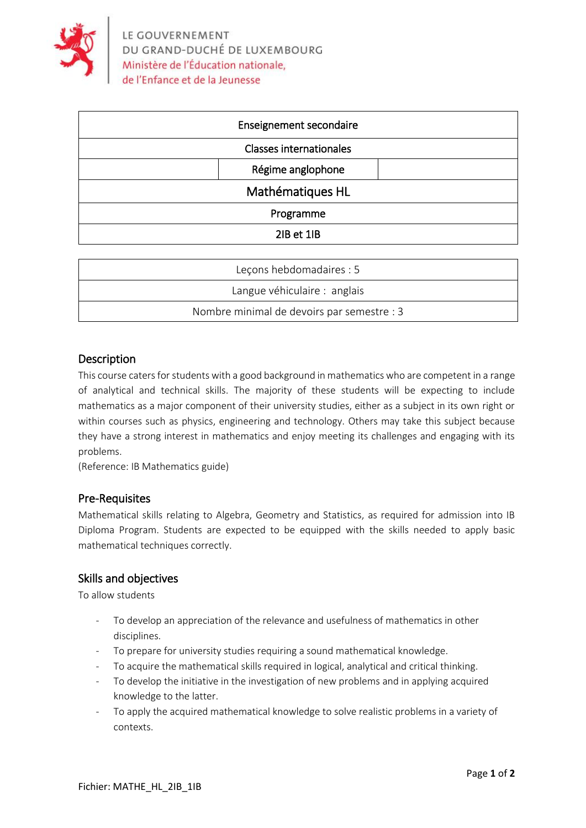

| <b>Enseignement secondaire</b> |  |
|--------------------------------|--|
| <b>Classes internationales</b> |  |
| Régime anglophone              |  |
| Mathématiques HL               |  |
| Programme                      |  |
| 2IB et 1IB                     |  |

| Lecons hebdomadaires : 5                   |
|--------------------------------------------|
| Langue véhiculaire : anglais               |
| Nombre minimal de devoirs par semestre : 3 |

### Description

This course caters for students with a good background in mathematics who are competent in a range of analytical and technical skills. The majority of these students will be expecting to include mathematics as a major component of their university studies, either as a subject in its own right or within courses such as physics, engineering and technology. Others may take this subject because they have a strong interest in mathematics and enjoy meeting its challenges and engaging with its problems.

(Reference: IB Mathematics guide)

#### Pre-Requisites

Mathematical skills relating to Algebra, Geometry and Statistics, as required for admission into IB Diploma Program. Students are expected to be equipped with the skills needed to apply basic mathematical techniques correctly.

#### Skills and objectives

To allow students

- To develop an appreciation of the relevance and usefulness of mathematics in other disciplines.
- To prepare for university studies requiring a sound mathematical knowledge.
- To acquire the mathematical skills required in logical, analytical and critical thinking.
- To develop the initiative in the investigation of new problems and in applying acquired knowledge to the latter.
- To apply the acquired mathematical knowledge to solve realistic problems in a variety of contexts.